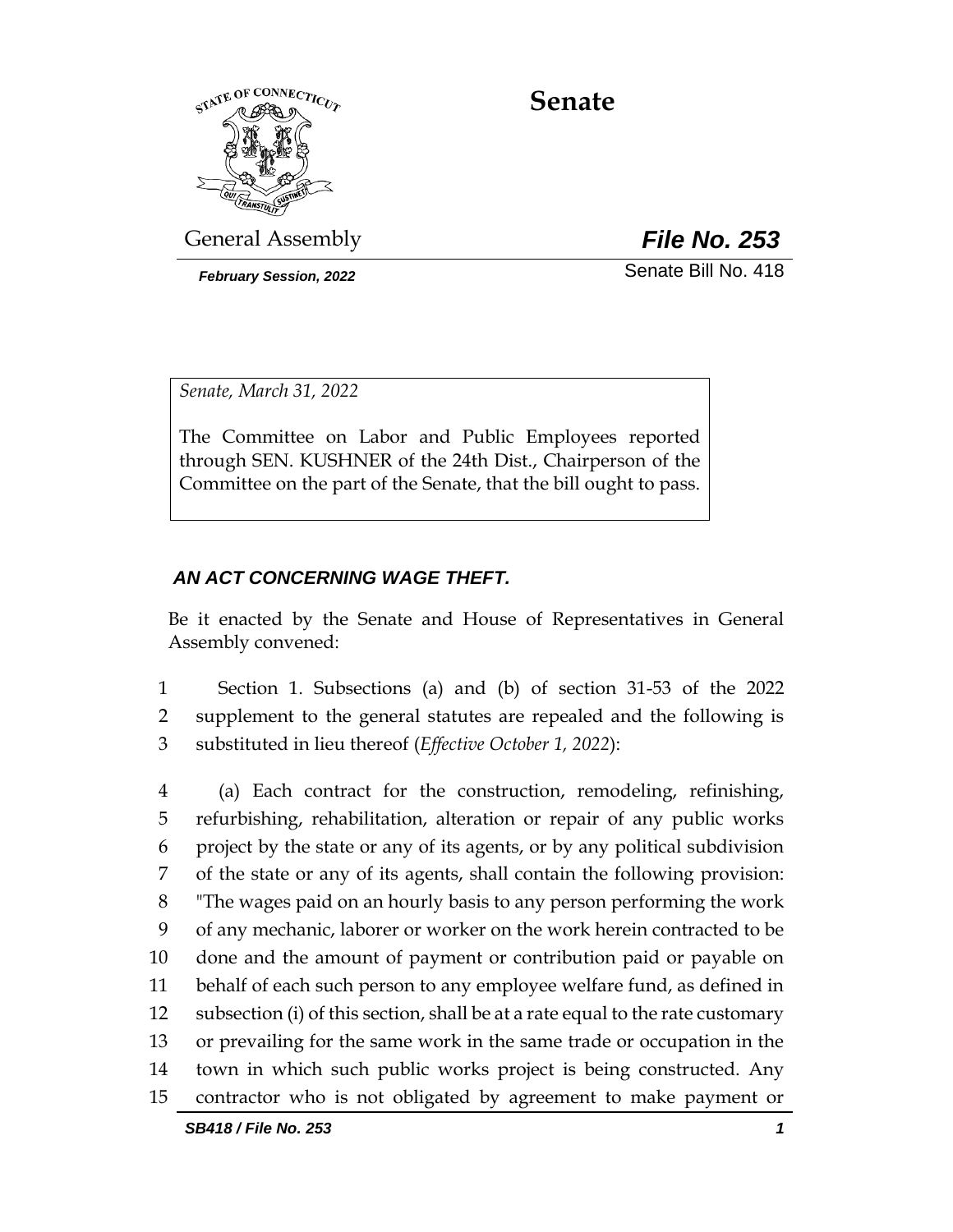

# **Senate**

General Assembly *File No. 253*

*February Session, 2022* Senate Bill No. 418

*Senate, March 31, 2022*

The Committee on Labor and Public Employees reported through SEN. KUSHNER of the 24th Dist., Chairperson of the Committee on the part of the Senate, that the bill ought to pass.

# *AN ACT CONCERNING WAGE THEFT.*

Be it enacted by the Senate and House of Representatives in General Assembly convened:

1 Section 1. Subsections (a) and (b) of section 31-53 of the 2022 2 supplement to the general statutes are repealed and the following is 3 substituted in lieu thereof (*Effective October 1, 2022*):

 (a) Each contract for the construction, remodeling, refinishing, refurbishing, rehabilitation, alteration or repair of any public works project by the state or any of its agents, or by any political subdivision of the state or any of its agents, shall contain the following provision: "The wages paid on an hourly basis to any person performing the work of any mechanic, laborer or worker on the work herein contracted to be done and the amount of payment or contribution paid or payable on behalf of each such person to any employee welfare fund, as defined in subsection (i) of this section, shall be at a rate equal to the rate customary or prevailing for the same work in the same trade or occupation in the town in which such public works project is being constructed. Any contractor who is not obligated by agreement to make payment or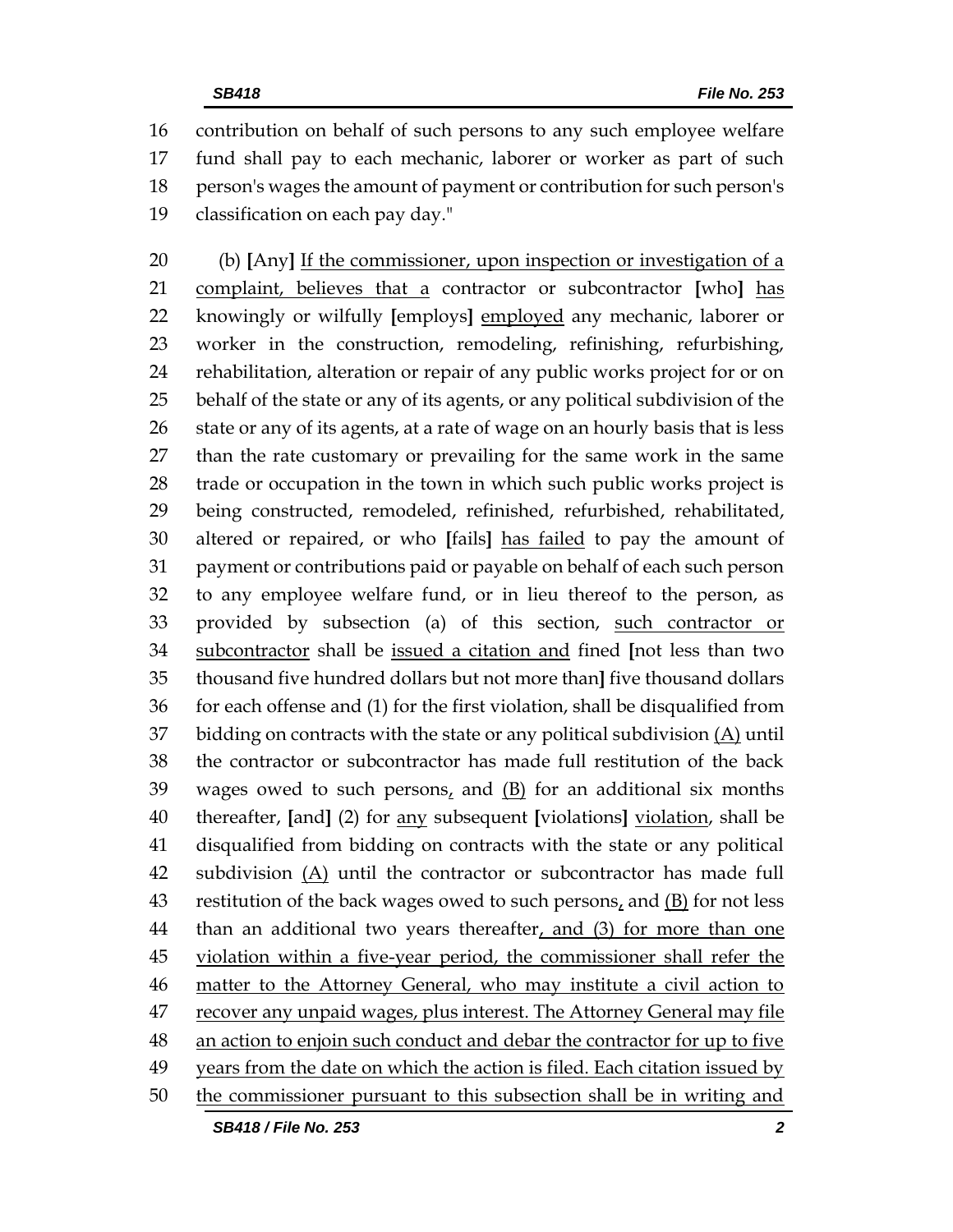contribution on behalf of such persons to any such employee welfare fund shall pay to each mechanic, laborer or worker as part of such person's wages the amount of payment or contribution for such person's classification on each pay day."

 (b) **[**Any**]** If the commissioner, upon inspection or investigation of a complaint, believes that a contractor or subcontractor **[**who**]** has knowingly or wilfully **[**employs**]** employed any mechanic, laborer or worker in the construction, remodeling, refinishing, refurbishing, rehabilitation, alteration or repair of any public works project for or on behalf of the state or any of its agents, or any political subdivision of the 26 state or any of its agents, at a rate of wage on an hourly basis that is less than the rate customary or prevailing for the same work in the same trade or occupation in the town in which such public works project is being constructed, remodeled, refinished, refurbished, rehabilitated, altered or repaired, or who **[**fails**]** has failed to pay the amount of payment or contributions paid or payable on behalf of each such person to any employee welfare fund, or in lieu thereof to the person, as provided by subsection (a) of this section, such contractor or subcontractor shall be issued a citation and fined **[**not less than two thousand five hundred dollars but not more than**]** five thousand dollars for each offense and (1) for the first violation, shall be disqualified from 37 bidding on contracts with the state or any political subdivision  $(A)$  until the contractor or subcontractor has made full restitution of the back 39 wages owed to such persons, and  $(B)$  for an additional six months thereafter, **[**and**]** (2) for any subsequent **[**violations**]** violation, shall be disqualified from bidding on contracts with the state or any political subdivision (A) until the contractor or subcontractor has made full 43 restitution of the back wages owed to such persons, and  $(B)$  for not less 44 than an additional two years thereafter, and (3) for more than one violation within a five-year period, the commissioner shall refer the 46 matter to the Attorney General, who may institute a civil action to recover any unpaid wages, plus interest. The Attorney General may file an action to enjoin such conduct and debar the contractor for up to five 49 years from the date on which the action is filed. Each citation issued by the commissioner pursuant to this subsection shall be in writing and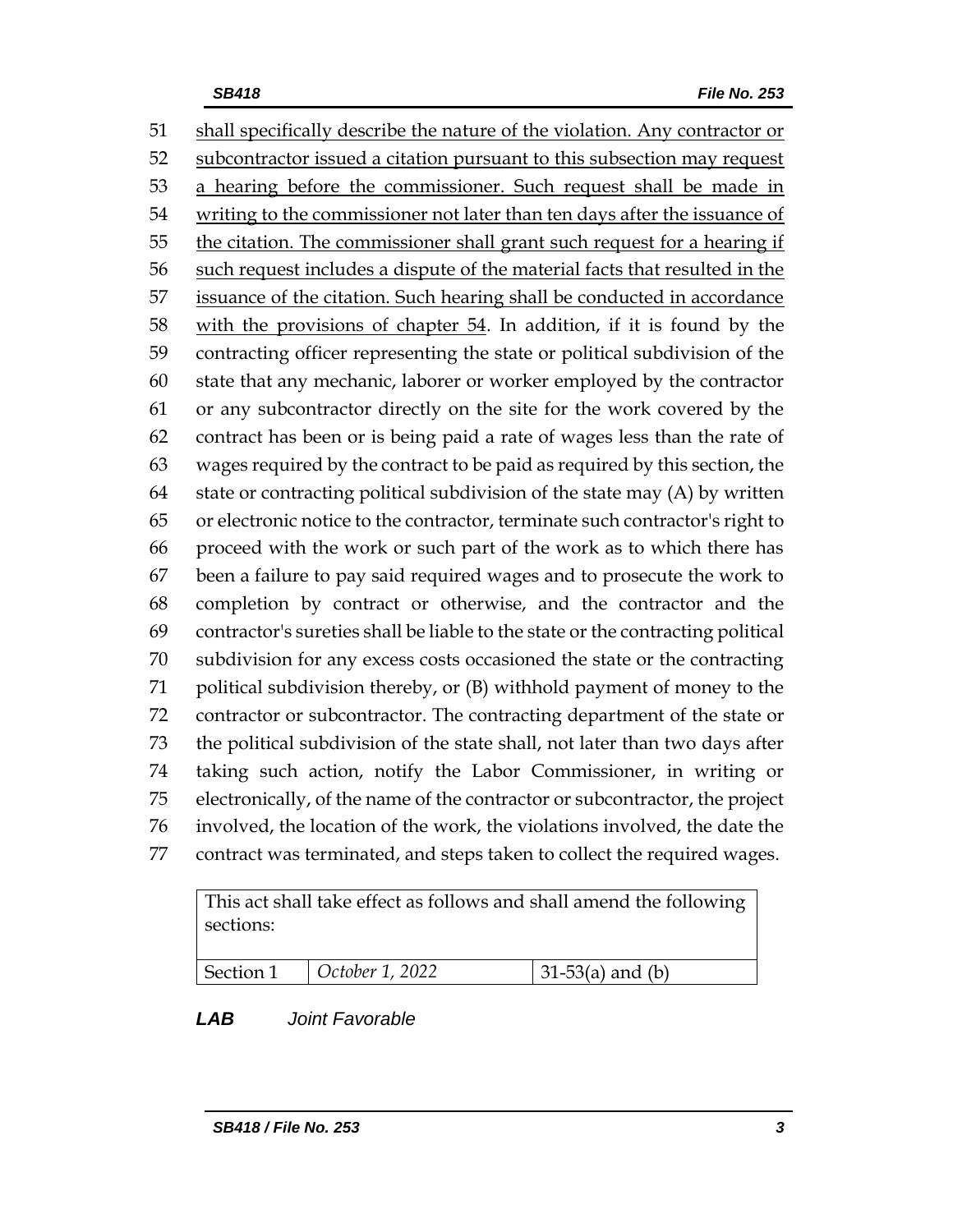shall specifically describe the nature of the violation. Any contractor or 52 subcontractor issued a citation pursuant to this subsection may request 53 a hearing before the commissioner. Such request shall be made in writing to the commissioner not later than ten days after the issuance of 55 the citation. The commissioner shall grant such request for a hearing if 56 such request includes a dispute of the material facts that resulted in the issuance of the citation. Such hearing shall be conducted in accordance with the provisions of chapter 54. In addition, if it is found by the contracting officer representing the state or political subdivision of the state that any mechanic, laborer or worker employed by the contractor or any subcontractor directly on the site for the work covered by the contract has been or is being paid a rate of wages less than the rate of wages required by the contract to be paid as required by this section, the state or contracting political subdivision of the state may (A) by written or electronic notice to the contractor, terminate such contractor's right to proceed with the work or such part of the work as to which there has been a failure to pay said required wages and to prosecute the work to completion by contract or otherwise, and the contractor and the contractor's sureties shall be liable to the state or the contracting political subdivision for any excess costs occasioned the state or the contracting political subdivision thereby, or (B) withhold payment of money to the contractor or subcontractor. The contracting department of the state or the political subdivision of the state shall, not later than two days after taking such action, notify the Labor Commissioner, in writing or electronically, of the name of the contractor or subcontractor, the project involved, the location of the work, the violations involved, the date the contract was terminated, and steps taken to collect the required wages.

This act shall take effect as follows and shall amend the following sections:

| Section 1 | $\vert$ October 1, 2022 | $ 31-53(a)$ and (b) |
|-----------|-------------------------|---------------------|

# *LAB Joint Favorable*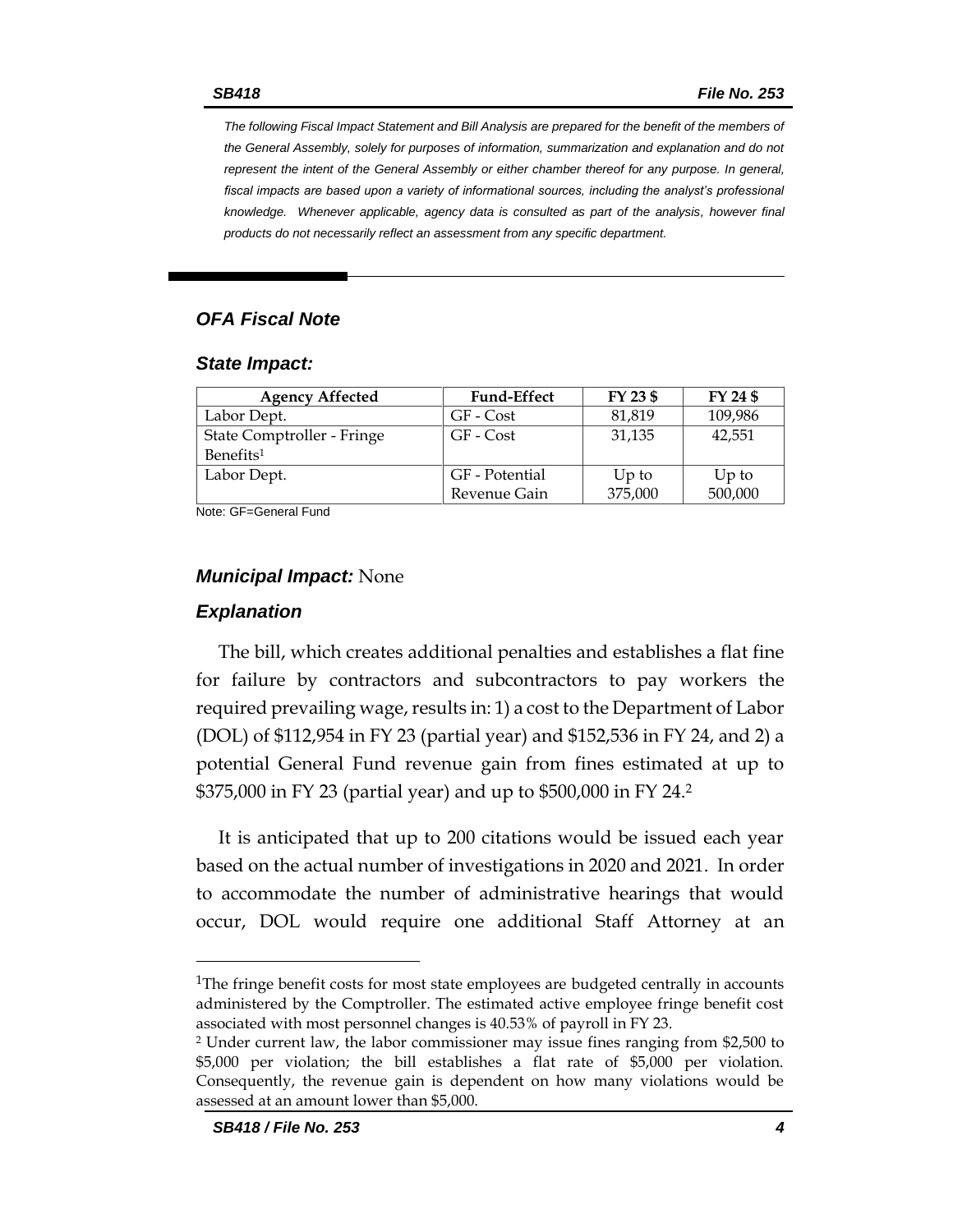*The following Fiscal Impact Statement and Bill Analysis are prepared for the benefit of the members of the General Assembly, solely for purposes of information, summarization and explanation and do not represent the intent of the General Assembly or either chamber thereof for any purpose. In general, fiscal impacts are based upon a variety of informational sources, including the analyst's professional knowledge. Whenever applicable, agency data is consulted as part of the analysis, however final products do not necessarily reflect an assessment from any specific department.*

# *OFA Fiscal Note*

#### *State Impact:*

| <b>Agency Affected</b>     | <b>Fund-Effect</b> | FY 23 \$ | FY 24 \$ |
|----------------------------|--------------------|----------|----------|
| Labor Dept.                | GF - Cost          | 81,819   | 109,986  |
| State Comptroller - Fringe | GF - Cost          | 31,135   | 42,551   |
| Benefits <sup>1</sup>      |                    |          |          |
| Labor Dept.                | GF - Potential     | $Up$ to  | $Up$ to  |
|                            | Revenue Gain       | 375,000  | 500,000  |

Note: GF=General Fund

### *Municipal Impact:* None

### *Explanation*

The bill, which creates additional penalties and establishes a flat fine for failure by contractors and subcontractors to pay workers the required prevailing wage, results in: 1) a cost to the Department of Labor (DOL) of \$112,954 in FY 23 (partial year) and \$152,536 in FY 24, and 2) a potential General Fund revenue gain from fines estimated at up to \$375,000 in FY 23 (partial year) and up to \$500,000 in FY 24.<sup>2</sup>

It is anticipated that up to 200 citations would be issued each year based on the actual number of investigations in 2020 and 2021. In order to accommodate the number of administrative hearings that would occur, DOL would require one additional Staff Attorney at an

<sup>&</sup>lt;sup>1</sup>The fringe benefit costs for most state employees are budgeted centrally in accounts administered by the Comptroller. The estimated active employee fringe benefit cost associated with most personnel changes is 40.53% of payroll in FY 23.

<sup>2</sup> Under current law, the labor commissioner may issue fines ranging from \$2,500 to \$5,000 per violation; the bill establishes a flat rate of \$5,000 per violation. Consequently, the revenue gain is dependent on how many violations would be assessed at an amount lower than \$5,000.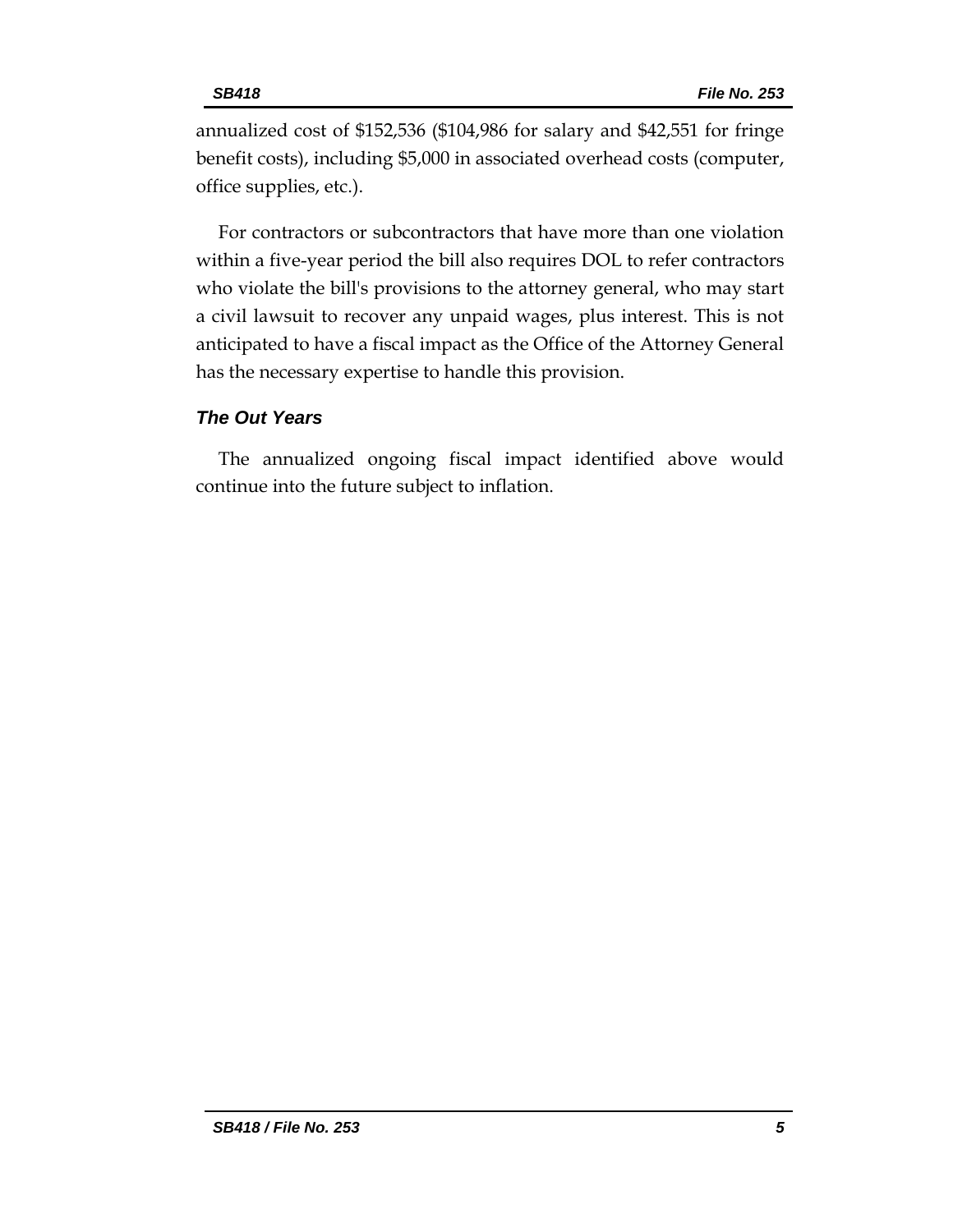annualized cost of \$152,536 (\$104,986 for salary and \$42,551 for fringe benefit costs), including \$5,000 in associated overhead costs (computer, office supplies, etc.).

For contractors or subcontractors that have more than one violation within a five-year period the bill also requires DOL to refer contractors who violate the bill's provisions to the attorney general, who may start a civil lawsuit to recover any unpaid wages, plus interest. This is not anticipated to have a fiscal impact as the Office of the Attorney General has the necessary expertise to handle this provision.

# *The Out Years*

The annualized ongoing fiscal impact identified above would continue into the future subject to inflation.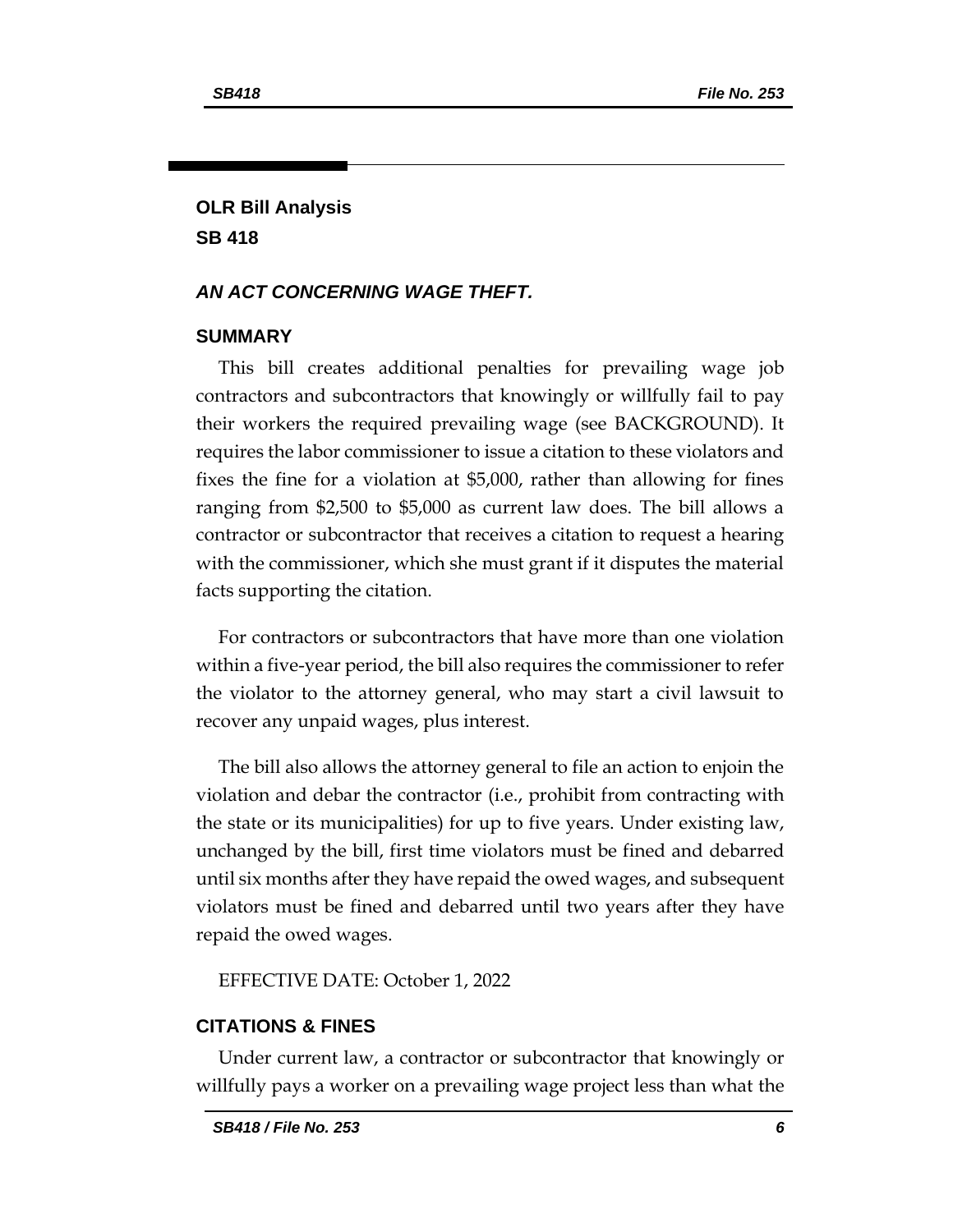# **OLR Bill Analysis SB 418**

# *AN ACT CONCERNING WAGE THEFT.*

### **SUMMARY**

This bill creates additional penalties for prevailing wage job contractors and subcontractors that knowingly or willfully fail to pay their workers the required prevailing wage (see BACKGROUND). It requires the labor commissioner to issue a citation to these violators and fixes the fine for a violation at \$5,000, rather than allowing for fines ranging from \$2,500 to \$5,000 as current law does. The bill allows a contractor or subcontractor that receives a citation to request a hearing with the commissioner, which she must grant if it disputes the material facts supporting the citation.

For contractors or subcontractors that have more than one violation within a five-year period, the bill also requires the commissioner to refer the violator to the attorney general, who may start a civil lawsuit to recover any unpaid wages, plus interest.

The bill also allows the attorney general to file an action to enjoin the violation and debar the contractor (i.e., prohibit from contracting with the state or its municipalities) for up to five years. Under existing law, unchanged by the bill, first time violators must be fined and debarred until six months after they have repaid the owed wages, and subsequent violators must be fined and debarred until two years after they have repaid the owed wages.

EFFECTIVE DATE: October 1, 2022

# **CITATIONS & FINES**

Under current law, a contractor or subcontractor that knowingly or willfully pays a worker on a prevailing wage project less than what the